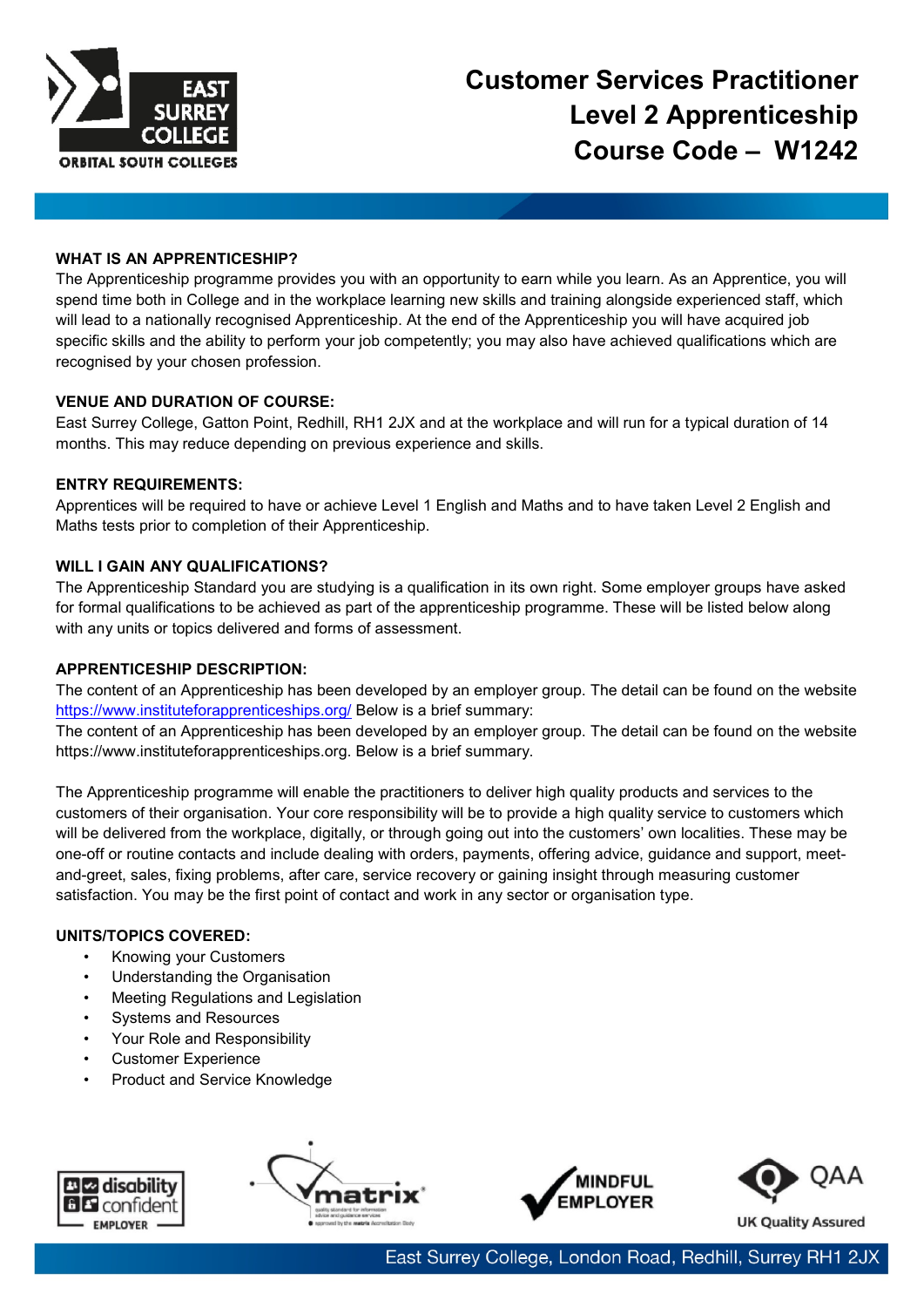

## **WHAT IS AN APPRENTICESHIP?**

The Apprenticeship programme provides you with an opportunity to earn while you learn. As an Apprentice, you will spend time both in College and in the workplace learning new skills and training alongside experienced staff, which will lead to a nationally recognised Apprenticeship. At the end of the Apprenticeship you will have acquired job specific skills and the ability to perform your job competently; you may also have achieved qualifications which are recognised by your chosen profession.

## **VENUE AND DURATION OF COURSE:**

East Surrey College, Gatton Point, Redhill, RH1 2JX and at the workplace and will run for a typical duration of 14 months. This may reduce depending on previous experience and skills.

## **ENTRY REQUIREMENTS:**

Apprentices will be required to have or achieve Level 1 English and Maths and to have taken Level 2 English and Maths tests prior to completion of their Apprenticeship.

## **WILL I GAIN ANY QUALIFICATIONS?**

The Apprenticeship Standard you are studying is a qualification in its own right. Some employer groups have asked for formal qualifications to be achieved as part of the apprenticeship programme. These will be listed below along with any units or topics delivered and forms of assessment.

## **APPRENTICESHIP DESCRIPTION:**

The content of an Apprenticeship has been developed by an employer group. The detail can be found on the website <https://www.instituteforapprenticeships.org/> Below is a brief summary:

The content of an Apprenticeship has been developed by an employer group. The detail can be found on the website https://www.instituteforapprenticeships.org. Below is a brief summary.

The Apprenticeship programme will enable the practitioners to deliver high quality products and services to the customers of their organisation. Your core responsibility will be to provide a high quality service to customers which will be delivered from the workplace, digitally, or through going out into the customers' own localities. These may be one-off or routine contacts and include dealing with orders, payments, offering advice, guidance and support, meetand-greet, sales, fixing problems, after care, service recovery or gaining insight through measuring customer satisfaction. You may be the first point of contact and work in any sector or organisation type.

## **UNITS/TOPICS COVERED:**

- Knowing your Customers
- Understanding the Organisation
- Meeting Regulations and Legislation
- Systems and Resources
- Your Role and Responsibility
- Customer Experience
- Product and Service Knowledge